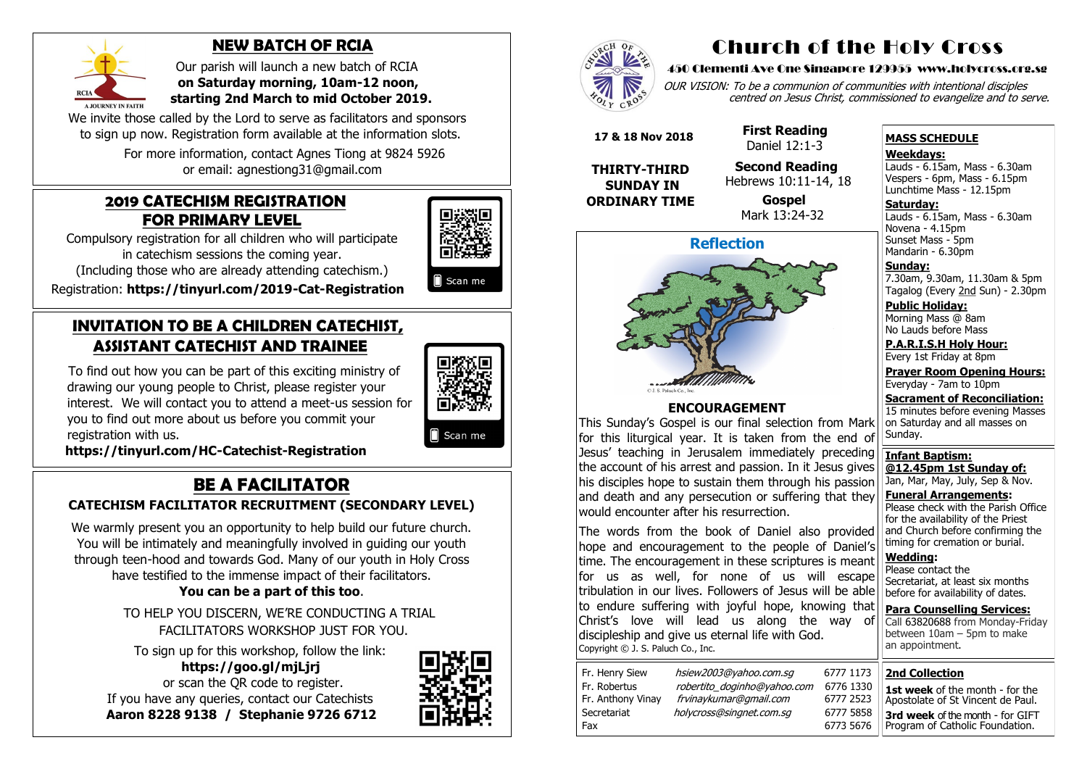#### **2019 CATECHISM REGISTRATION FOR PRIMARY LEVEL**

Compulsory registration for all children who will participate in catechism sessions the coming year.

(Including those who are already attending catechism.)

Registration: **[https://tinyurl.com/2019](https://tinyurl.com/2019-Cat-Registration)-Cat-Registration**

## **INVITATION TO BE A CHILDREN CATECHIST, ASSISTANT CATECHIST AND TRAINEE**

To find out how you can be part of this exciting ministry of drawing our young people to Christ, please register your interest. We will contact you to attend a meet-us session for you to find out more about us before you commit your registration with us.



Scan me

We warmly present you an opportunity to help build our future church. You will be intimately and meaningfully involved in guiding our youth through teen-hood and towards God. Many of our youth in Holy Cross have testified to the immense impact of their facilitators.

 **[https://tinyurl.com/HC](https://tinyurl.com/HC-Catechist-Registration)-Catechist-Registration**

# **BE A FACILITATOR**

### **CATECHISM FACILITATOR RECRUITMENT (SECONDARY LEVEL)**

We invite those called by the Lord to serve as facilitators and sponsors to sign up now. Registration form available at the information slots.

OUR VISION: To be a communion of communities with intentional disciples centred on Jesus Christ, commissioned to evangelize and to serve.

**You can be a part of this too**.

 TO HELP YOU DISCERN, WE'RE CONDUCTING A TRIAL FACILITATORS WORKSHOP JUST FOR YOU.

**Saturday:** Lauds - 6.15am, Mass - 6.30am Novena - 4.15pm Sunset Mass - 5pm Mandarin - 6.30pm

To sign up for this workshop, follow the link:  **https://goo.gl/mjLjrj**  or scan the QR code to register. If you have any queries, contact our Catechists  **Aaron 8228 9138 / Stephanie 9726 6712**







## **NEW BATCH OF RCIA**

 Our parish will launch a new batch of RCIA  **on Saturday morning, 10am-12 noon, starting 2nd March to mid October 2019.**

 For more information, contact Agnes Tiong at 9824 5926 or email: agnestiong31@gmail.com

# Church of the Holy Cross

#### 450 Clementi Ave One Singapore 129955 www.holycross.org.sg

| Fr. Henry Siew    | hsiew2003@yahoo.com.sq      | 6777 1173 |
|-------------------|-----------------------------|-----------|
| Fr. Robertus      | robertito doginho@yahoo.com | 6776 1330 |
| Fr. Anthony Vinay | frvinaykumar@gmail.com      | 6777 2523 |
| Secretariat       | holycross@singnet.com.sg    | 6777 5858 |
| Fax               |                             | 6773 5676 |

#### **MASS SCHEDULE**

**Weekdays:**

Lauds - 6.15am, Mass - 6.30am Vespers - 6pm, Mass - 6.15pm Lunchtime Mass - 12.15pm

**Sunday:** 7.30am, 9.30am, 11.30am & 5pm Tagalog (Every 2nd Sun) - 2.30pm

**Public Holiday:**  Morning Mass @ 8am No Lauds before Mass

**P.A.R.I.S.H Holy Hour:** Every 1st Friday at 8pm

**Prayer Room Opening Hours:** Everyday - 7am to 10pm

**Sacrament of Reconciliation:** 15 minutes before evening Masses on Saturday and all masses on Sunday.

**Infant Baptism: @12.45pm 1st Sunday of:** Jan, Mar, May, July, Sep & Nov.

**Funeral Arrangements:**  Please check with the Parish Office for the availability of the Priest and Church before confirming the timing for cremation or burial.

**Wedding:**  Please contact the Secretariat, at least six months before for availability of dates.

**Para Counselling Services:** Call [63820688](tel:+6563820688) from Monday-Friday between 10am – 5pm to make an appointment.

**Reflection**

#### **ENCOURAGEMENT**

This Sunday's Gospel is our final selection from Mark for this liturgical year. It is taken from the end of Jesus' teaching in Jerusalem immediately preceding the account of his arrest and passion. In it Jesus gives his disciples hope to sustain them through his passion and death and any persecution or suffering that they would encounter after his resurrection.

The words from the book of Daniel also provided hope and encouragement to the people of Daniel's time. The encouragement in these scriptures is meant for us as well, for none of us will escape tribulation in our lives. Followers of Jesus will be able to endure suffering with joyful hope, knowing that Christ's love will lead us along the way of discipleship and give us eternal life with God. Copyright © J. S. Paluch Co., Inc.

 **17 & 18 Nov 2018**

**THIRTY-THIRD SUNDAY IN ORDINARY TIME**  **First Reading** Daniel 12:1-3

**Second Reading**

 Hebrews 10:11-14, 18 **Gospel**

Mark 13:24-32



|      | all appointment.                  |
|------|-----------------------------------|
| 1173 | <b>2nd Collection</b>             |
| 1330 | 1st week of the month - for the   |
| 2523 | Apostolate of St Vincent de Paul. |
| 5858 | 3rd week of the month - for GIFT  |
| 5676 | Program of Catholic Foundation.   |